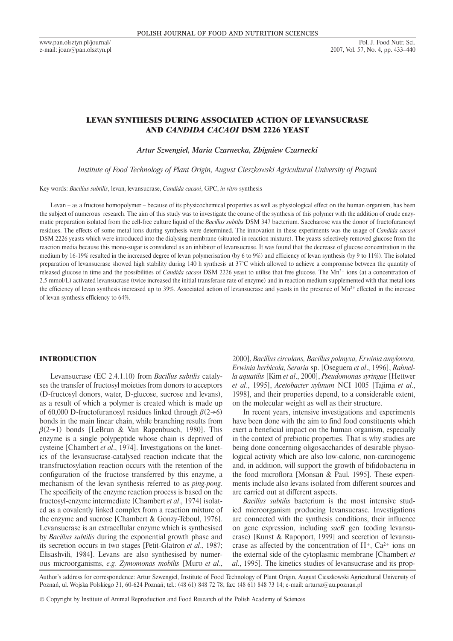# LEVAN SYNTHESIS DURING ASSOCIATED ACTION OF LEVANSUCRASE AND *CANDIDA CACAOI* DSM 2226 YEAST

*Artur Szwengiel, Maria Czarnecka, Zbigniew Czarnecki*

*Institute of Food Technology of Plant Origin, August Cieszkowski Agricultural University of Poznań*

Key words: *Bacillus subtilis*, levan, levansucrase, *Candida cacaoi*, GPC, *in vitro* synthesis

Levan – as a fructose homopolymer – because of its physicochemical properties as well as physiological effect on the human organism, has been the subject of numerous research. The aim of this study was to investigate the course of the synthesis of this polymer with the addition of crude enzymatic preparation isolated from the cell-free culture liquid of the *Bacillus subtilis* DSM 347 bacterium. Saccharose was the donor of fructofuranosyl residues. The effects of some metal ions during synthesis were determined. The innovation in these experiments was the usage of *Candida cacaoi* DSM 2226 yeasts which were introduced into the dialysing membrane (situated in reaction mixture). The yeasts selectively removed glucose from the reaction media because this mono-sugar is considered as an inhibitor of levansucrase. It was found that the decrease of glucose concentration in the medium by 16-19% resulted in the increased degree of levan polymerisation (by 6 to 9%) and efficiency of levan synthesis (by 9 to 11%). The isolated preparation of levansucrase showed high stability during 140 h synthesis at 37°C which allowed to achieve a compromise between the quantity of released glucose in time and the possibilities of *Candida cacaoi* DSM 2226 yeast to utilise that free glucose. The Mn<sup>2+</sup> ions (at a concentration of 2.5 mmol/L) activated levansucrase (twice increased the initial transferase rate of enzyme) and in reaction medium supplemented with that metal ions the efficiency of levan synthesis increased up to 39%. Associated action of levansucrase and yeasts in the presence of  $Mn^{2+}$  effected in the increase of levan synthesis efficiency to 64%.

### INTRODUCTION

Levansucrase (EC 2.4.1.10) from *Bacillus subtilis* catalyses the transfer of fructosyl moieties from donors to acceptors (D-fructosyl donors, water, D-glucose, sucrose and levans), as a result of which a polymer is created which is made up of 60,000 D-fructofuranosyl residues linked through  $\beta(2\rightarrow6)$ bonds in the main linear chain, while branching results from  $\beta(2\rightarrow 1)$  bonds [LeBrun & Van Rapenbusch, 1980]. This enzyme is a single polypeptide whose chain is deprived of cysteine [Chambert *et al*., 1974]. Investigations on the kinetics of the levansucrase-catalysed reaction indicate that the transfructosylation reaction occurs with the retention of the configuration of the fructose transferred by this enzyme, a mechanism of the levan synthesis referred to as *ping-pong*. The specificity of the enzyme reaction process is based on the fructosyl-enzyme intermediate [Chambert *et al*., 1974] isolated as a covalently linked complex from a reaction mixture of the enzyme and sucrose [Chambert & Gonzy-Teboul, 1976]. Levansucrase is an extracellular enzyme which is synthesised by *Bacillus subtilis* during the exponential growth phase and its secretion occurs in two stages [Petit-Glatron *et al*., 1987; Elisashvili, 1984]. Levans are also synthesised by numerous microorganisms, *e.g. Zymomonas mobilis* [Muro *et al*.,

2000], *Bacillus circulans, Bacillus polmyxa, Erwinia amylovora, Erwinia herbicola, Seraria* sp. [Oseguera *et al*., 1996], *Rahnella aquatilis* [Kim *et al*., 2000], *Pseudomonas syringae* [Hettwer *et al*., 1995], *Acetobacter xylinum* NCI 1005 [Tajima *et al*., 1998], and their properties depend, to a considerable extent, on the molecular weight as well as their structure.

In recent years, intensive investigations and experiments have been done with the aim to find food constituents which exert a beneficial impact on the human organism, especially in the context of prebiotic properties. That is why studies are being done concerning oligosaccharides of desirable physiological activity which are also low-caloric, non-carcinogenic and, in addition, will support the growth of bifidobacteria in the food microflora [Monsan & Paul, 1995]. These experiments include also levans isolated from different sources and are carried out at different aspects.

*Bacillus subtilis* bacterium is the most intensive studied microorganism producing levansucrase. Investigations are connected with the synthesis conditions, their influence on gene expression, including *sacB* gen (coding levansucrase) [Kunst & Rapoport, 1999] and secretion of levansucrase as affected by the concentration of  $H^+$ ,  $Ca^{2+}$  ions on the external side of the cytoplasmic membrane [Chambert *et al*., 1995]. The kinetics studies of levansucrase and its prop-

Author's address for correspondence: Artur Szwengiel, Institute of Food Technology of Plant Origin, August Cieszkowski Agricultural University of Poznań, ul. Wojska Polskiego 31, 60-624 Poznań; tel.: (48 61) 848 72 78; fax: (48 61) 848 73 14; e-mail: artursz@au.poznan.pl

© Copyright by Institute of Animal Reproduction and Food Research of the Polish Academy of Sciences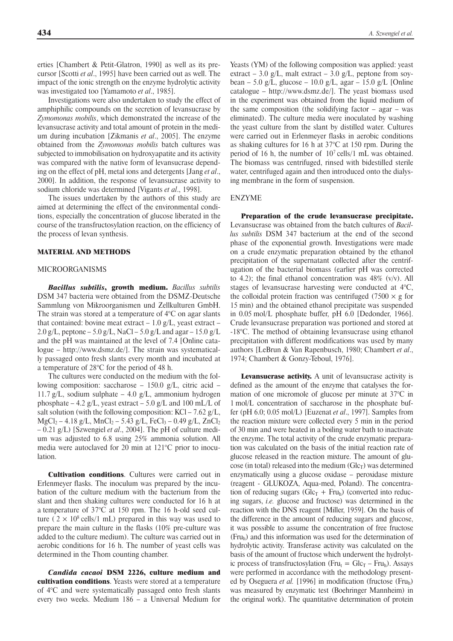erties [Chambert & Petit-Glatron, 1990] as well as its precursor [Scotti *et al*., 1995] have been carried out as well. The impact of the ionic strength on the enzyme hydrolytic activity was investigated too [Yamamoto *et al*., 1985].

Investigations were also undertaken to study the effect of amphiphilic compounds on the secretion of levansucrase by *Zymomonas mobilis*, which demonstrated the increase of the levansucrase activity and total amount of protein in the medium during incubation [Zikmanis *et al*., 2005]. The enzyme obtained from the *Zymomonas mobilis* batch cultures was subjected to immobilisation on hydroxyapatite and its activity was compared with the native form of levansucrase depending on the effect of pH, metal ions and detergents [Jang *et al*., 2000]. In addition, the response of levansucrase activity to sodium chloride was determined [Vigants *et al*., 1998].

The issues undertaken by the authors of this study are aimed at determining the effect of the environmental conditions, especially the concentration of glucose liberated in the course of the transfructosylation reaction, on the efficiency of the process of levan synthesis.

#### MATERIAL AND METHODS

# MICROORGANISMS

*Bacillus subtilis*, growth medium. *Bacillus subtilis*  DSM 347 bacteria were obtained from the DSMZ-Deutsche Sammlung von Mikroorganismen und Zellkulturen GmbH. The strain was stored at a temperature of 4°C on agar slants that contained: bovine meat extract  $-1.0$  g/L, yeast extract  $-$ 2.0 g/L, peptone – 5.0 g/L, NaCl – 5.0 g/L and agar – 15.0 g/L and the pH was maintained at the level of 7.4 [Online catalogue – http://www.dsmz.de/]. The strain was systematically passaged onto fresh slants every month and incubated at a temperature of 28°C for the period of 48 h.

The cultures were conducted on the medium with the following composition: saccharose – 150.0 g/L, citric acid – 11.7 g/L, sodium sulphate – 4.0 g/L, ammonium hydrogen phosphate – 4.2 g/L, yeast extract – 5.0 g/L and 100 mL/L of salt solution (with the following composition: KCl – 7.62  $g/L$ ,  $MgCl_2 - 4.18 g/L$ , MnCl<sub>2</sub> – 5.43 g/L, FeCl<sub>3</sub> – 0.49 g/L, ZnCl<sub>2</sub> – 0.21 g/L) [Szwengiel *et al*., 2004]. The pH of culture medium was adjusted to 6.8 using 25% ammonia solution. All media were autoclaved for 20 min at 121°C prior to inoculation.

Cultivation conditions. Cultures were carried out in Erlenmeyer flasks. The inoculum was prepared by the incubation of the culture medium with the bacterium from the slant and then shaking cultures were conducted for 16 h at a temperature of 37°C at 150 rpm. The 16 h-old seed culture ( $2 \times 10^8$  cells/1 mL) prepared in this way was used to prepare the main culture in the flasks (10% pre-culture was added to the culture medium). The culture was carried out in aerobic conditions for 16 h. The number of yeast cells was determined in the Thom counting chamber.

*Candida cacaoi* DSM 2226, culture medium and cultivation conditions. Yeasts were stored at a temperature of 4°C and were systematically passaged onto fresh slants every two weeks. Medium 186 – a Universal Medium for

Yeasts (YM) of the following composition was applied: yeast extract – 3.0 g/L, malt extract – 3.0 g/L, peptone from soybean – 5.0 g/L, glucose – 10.0 g/L, agar – 15.0 g/L [Online catalogue – http://www.dsmz.de/]. The yeast biomass used in the experiment was obtained from the liquid medium of the same composition (the solidifying factor – agar – was eliminated). The culture media were inoculated by washing the yeast culture from the slant by distilled water. Cultures were carried out in Erlenmeyer flasks in aerobic conditions as shaking cultures for 16 h at 37°C at 150 rpm. During the period of 16 h, the number of  $10<sup>7</sup>$  cells/1 mL was obtained. The biomass was centrifuged, rinsed with bidestilled sterile water, centrifuged again and then introduced onto the dialysing membrane in the form of suspension.

#### ENZYME

Preparation of the crude levansucrase precipitate. Levansucrase was obtained from the batch cultures of *Bacillus subtilis* DSM 347 bacterium at the end of the second phase of the exponential growth. Investigations were made on a crude enzymatic preparation obtained by the ethanol precipitation of the supernatant collected after the centrifugation of the bacterial biomass (earlier pH was corrected to 4.2); the final ethanol concentration was  $48\%$  (v/v). All stages of levansucrase harvesting were conducted at 4°C, the colloidal protein fraction was centrifuged (7500  $\times$  g for 15 min) and the obtained ethanol precipitate was suspended in 0.05 mol/L phosphate buffer, pH 6.0 [Dedonder, 1966]. Crude levansucrase preparation was portioned and stored at -18°C. The method of obtaining levansucrase using ethanol precipitation with different modifications was used by many authors [LeBrun & Van Rapenbusch, 1980; Chambert *et al*., 1974; Chambert & Gonzy-Teboul, 1976].

Levansucrase activity. A unit of levansucrase activity is defined as the amount of the enzyme that catalyses the formation of one micromole of glucose per minute at 37°C in 1 mol/L concentration of saccharose in the phosphate buffer (pH 6.0; 0.05 mol/L) [Euzenat *et al*., 1997]. Samples from the reaction mixture were collected every 5 min in the period of 30 min and were heated in a boiling water bath to inactivate the enzyme. The total activity of the crude enzymatic preparation was calculated on the basis of the initial reaction rate of glucose released in the reaction mixture. The amount of glucose (in total) released into the medium  $(Glc<sub>T</sub>)$  was determined enzymatically using a glucose oxidase – peroxidase mixture (reagent - GLUKOZA, Aqua-med, Poland). The concentration of reducing sugars ( $Glc<sub>T</sub> + Fru<sub>h</sub>$ ) (converted into reducing sugars, *i.e.* glucose and fructose) was determined in the reaction with the DNS reagent [Miller, 1959]. On the basis of the difference in the amount of reducing sugars and glucose, it was possible to assume the concentration of free fructose (Fruh) and this information was used for the determination of hydrolytic activity. Transferase activity was calculated on the basis of the amount of fructose which underwent the hydrolytic process of transfructosylation (Fru<sub>t</sub> =  $Glc<sub>T</sub>$  – Fru<sub>h</sub>). Assays were performed in accordance with the methodology presented by Oseguera *et al.* [1996] in modification (fructose (Fruh) was measured by enzymatic test (Boehringer Mannheim) in the original work). The quantitative determination of protein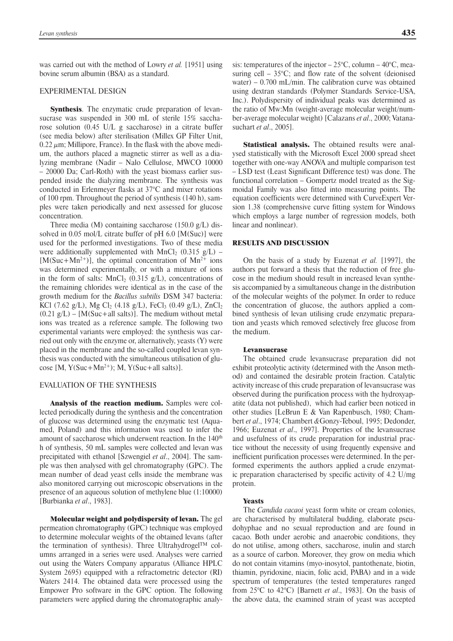was carried out with the method of Lowry *et al.* [1951] using bovine serum albumin (BSA) as a standard.

### EXPERIMENTAL DESIGN

Synthesis. The enzymatic crude preparation of levansucrase was suspended in 300 mL of sterile 15% saccharose solution (0.45 U/L g saccharose) in a citrate buffer (see media below) after sterilisation (Millex GP Filter Unit,  $0.22 \mu$ m; Millipore, France). In the flask with the above medium, the authors placed a magnetic stirrer as well as a dialyzing membrane (Nadir – Nalo Cellulose, MWCO 10000 – 20000 Da; Carl-Roth) with the yeast biomass earlier suspended inside the dialyzing membrane. The synthesis was conducted in Erlenmeyer flasks at 37°C and mixer rotations of 100 rpm. Throughout the period of synthesis (140 h), samples were taken periodically and next assessed for glucose concentration.

Three media (M) containing saccharose (150.0 g/L) dissolved in 0.05 mol/L citrate buffer of pH 6.0 [M(Suc)] were used for the performed investigations. Two of these media were additionally supplemented with MnCl<sub>2</sub> (0.315 g/L) –  $[M(Suc+Mn^{2+})]$ , the optimal concentration of  $Mn^{2+}$  ions was determined experimentally, or with a mixture of ions in the form of salts:  $MnCl<sub>2</sub>$  (0.315 g/L), concentrations of the remaining chlorides were identical as in the case of the growth medium for the *Bacillus subtilis* DSM 347 bacteria: KCl (7.62 g/L), Mg Cl<sub>2</sub> (4.18 g/L), FeCl<sub>3</sub> (0.49 g/L), ZnCl<sub>2</sub>  $(0.21 \text{ g/L})$  – [M(Suc+all salts)]. The medium without metal ions was treated as a reference sample. The following two experimental variants were employed: the synthesis was carried out only with the enzyme or, alternatively, yeasts (Y) were placed in the membrane and the so-called coupled levan synthesis was conducted with the simultaneous utilisation of glucose  $[M, Y(Suc+Mn^{2+})$ ; M,  $Y(Suc+all$  salts)].

# EVALUATION OF THE SYNTHESIS

Analysis of the reaction medium. Samples were collected periodically during the synthesis and the concentration of glucose was determined using the enzymatic test (Aquamed, Poland) and this information was used to infer the amount of saccharose which underwent reaction. In the 140<sup>th</sup> h of synthesis, 50 mL samples were collected and levan was precipitated with ethanol [Szwengiel *et al*., 2004]. The sample was then analysed with gel chromatography (GPC). The mean number of dead yeast cells inside the membrane was also monitored carrying out microscopic observations in the presence of an aqueous solution of methylene blue (1:10000) [Burbianka *et al*., 1983].

Molecular weight and polydispersity of levan. The gel permeation chromatography (GPC) technique was employed to determine molecular weights of the obtained levans (after the termination of synthesis). Three Ultrahydrogel<sup>TM</sup> columns arranged in a series were used. Analyses were carried out using the Waters Company apparatus (Alliance HPLC System 2695) equipped with a refractometric detector (RI) Waters 2414. The obtained data were processed using the Empower Pro software in the GPC option. The following parameters were applied during the chromatographic analysis: temperatures of the injector –  $25^{\circ}$ C, column –  $40^{\circ}$ C, measuring cell  $-35^{\circ}$ C; and flow rate of the solvent (deionised water) – 0.700 mL/min. The calibration curve was obtained using dextran standards (Polymer Standards Service-USA, Inc.). Polydispersity of individual peaks was determined as the ratio of Mw:Mn (weight-average molecular weight/number-average molecular weight) [Calazans *et al*., 2000; Vatanasuchart *et al*., 2005].

Statistical analysis. The obtained results were analysed statistically with the Microsoft Excel 2000 spread sheet together with one-way ANOVA and multiple comparison test – LSD test (Least Significant Difference test) was done. The functional correlation – Gompertz model treated as the Sigmoidal Family was also fitted into measuring points. The equation coefficients were determined with CurveExpert Version 1.38 (comprehensive curve fitting system for Windows which employs a large number of regression models, both linear and nonlinear).

# RESULTS AND DISCUSSION

On the basis of a study by Euzenat *et al.* [1997], the authors put forward a thesis that the reduction of free glucose in the medium should result in increased levan synthesis accompanied by a simultaneous change in the distribution of the molecular weights of the polymer. In order to reduce the concentration of glucose, the authors applied a combined synthesis of levan utilising crude enzymatic preparation and yeasts which removed selectively free glucose from the medium.

#### Levansucrase

The obtained crude levansucrase preparation did not exhibit proteolytic activity (determined with the Anson method) and contained the desirable protein fraction. Catalytic activity increase of this crude preparation of levansucrase was observed during the purification process with the hydroxyapatite (data not published), which had earlier been noticed in other studies [LeBrun E & Van Rapenbusch, 1980; Chambert *et al*., 1974; Chambert *&*Gonzy-Teboul, 1995; Dedonder, 1966; Euzenat *et al*., 1997]. Properties of the levansucrase and usefulness of its crude preparation for industrial practice without the necessity of using frequently expensive and inefficient purification processes were determined. In the performed experiments the authors applied a crude enzymatic preparation characterised by specific activity of 4.2 U/mg protein.

#### **Yeasts**

The *Candida cacaoi* yeast form white or cream colonies, are characterised by multilateral budding, elaborate pseudohyphae and no sexual reproduction and are found in cacao. Both under aerobic and anaerobic conditions, they do not utilise, among others, saccharose, inulin and starch as a source of carbon. Moreover, they grow on media which do not contain vitamins (myo-inosytol, pantothenate, biotin, thiamin, pyridoxine, niacin, folic acid, PABA) and in a wide spectrum of temperatures (the tested temperatures ranged from 25°C to 42°C) [Barnett *et al*., 1983]. On the basis of the above data, the examined strain of yeast was accepted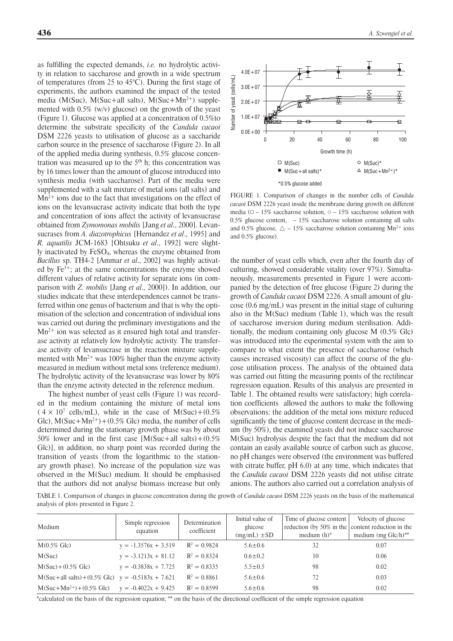as fulfilling the expected demands, *i.e.* no hydrolytic activity in relation to saccharose and growth in a wide spectrum of temperatures (from 25 to 45°C). During the first stage of experiments, the authors examined the impact of the tested media (M(Suc), M(Suc+all salts), M(Suc+Mn<sup>2+</sup>) supplemented with 0.5% (w/v) glucose) on the growth of the yeast (Figure 1). Glucose was applied at a concentration of 0.5%to determine the substrate specificity of the *Candida cacaoi*  DSM 2226 yeasts to utilisation of glucose as a saccharide carbon source in the presence of saccharose (Figure 2). In all of the applied media during synthesis, 0.5% glucose concentration was measured up to the  $5<sup>th</sup>$  h; this concentration was by 16 times lower than the amount of glucose introduced into synthesis media (with saccharose). Part of the media were supplemented with a salt mixture of metal ions (all salts) and  $Mn^{2+}$  ions due to the fact that investigations on the effect of ions on the levansucrase activity indicate that both the type and concentration of ions affect the activity of levansucrase obtained from *Zymomonas mobilis* [Jang *et al*., 2000]. Levansucrases from *A. diazotrophicus* [Hernandez *et al*., 1995] and *R. aquatilis* JCM-1683 [Ohtsuku *et al*., 1992] were slightly inactivated by FeSO4, whereas the enzyme obtained from *Bacillus* sp. TH4-2 [Ammar *et al*., 2002] was highly activated by Fe3+; at the same concentrations the enzyme showed different values of relative activity for separate ions (in comparison with *Z. mobilis* [Jang *et al*., 2000]). In addition, our studies indicate that these interdependences cannot be transferred within one genus of bacterium and that is why the optimisation of the selection and concentration of individual ions was carried out during the preliminary investigations and the  $Mn^{2+}$  ion was selected as it ensured high total and transferase activity at relatively low hydrolytic activity. The transferase activity of levansucrase in the reaction mixture supplemented with  $Mn^{2+}$  was 100% higher than the enzyme activity measured in medium without metal ions (reference medium). The hydrolytic activity of the levansucrase was lower by 80% than the enzyme activity detected in the reference medium.

The highest number of yeast cells (Figure 1) was recorded in the medium containing the mixture of metal ions  $(4 \times 10^7 \text{ cells/mL})$ , while in the case of M(Suc)+(0.5% Glc),  $M(Suc+Mn^{2+})+(0.5\%$  Glc) media, the number of cells determined during the stationary growth phase was by about 50% lower and in the first case  $[M(Suc+all \; salts)+(0.5\%$ Glc)], in addition, no sharp point was recorded during the transition of yeasts (from the logarithmic to the stationary growth phase). No increase of the population size was observed in the M(Suc) medium. It should be emphasised that the authors did not analyse biomass increase but only



FIGURE 1. Comparison of changes in the number cells of *Candida cacaoi* DSM 2226 yeast inside the membrane during growth on different media ( $\Box$  – 15% saccharose solution,  $\circ$  – 15% saccharose solution with 0.5% glucose content,  $-15%$  saccharose solution containing all salts and 0.5% glucose,  $\Delta$  – 15% saccharose solution containing Mn<sup>2+</sup> ions and 0.5% glucose).

the number of yeast cells which, even after the fourth day of culturing, showed considerable vitality (over 97%). Simultaneously, measurements presented in Figure 1 were accompanied by the detection of free glucose (Figure 2) during the growth of *Candida cacaoi* DSM 2226. A small amount of glucose (0.6 mg/mL) was present in the initial stage of culturing also in the M(Suc) medium (Table 1), which was the result of saccharose inversion during medium sterilisation. Additionally, the medium containing only glucose M (0.5% Glc) was introduced into the experimental system with the aim to compare to what extent the presence of saccharose (which causes increased viscosity) can affect the course of the glucose utilisation process. The analysis of the obtained data was carried out fitting the measuring points of the rectilinear regression equation. Results of this analysis are presented in Table 1. The obtained results were satisfactory; high correlation coefficients allowed the authors to make the following observations: the addition of the metal ions mixture reduced significantly the time of glucose content decrease in the medium (by 50%), the examined yeasts did not induce saccharose M(Suc) hydrolysis despite the fact that the medium did not contain an easily available source of carbon such as glucose, no pH changes were observed (the environment was buffered with citrate buffer, pH 6.0) at any time, which indicates that the *Candida cacaoi* DSM 2226 yeasts did not utilise citrate anions. The authors also carried out a correlation analysis of

TABLE 1. Comparison of changes in glucose concentration during the growth of *Candida cacaoi* DSM 2226 yeasts on the basis of the mathematical analysis of plots presented in Figure 2.

| Medium                                                | Simple regression<br>equation | Determination<br>coefficient | Initial value of<br>glucose<br>$(mg/mL) \pm SD$ | Time of glucose content<br>reduction (by 50% in the content reduction in the<br>medium $(h)^*$ | Velocity of glucose<br>medium (mg Glc/h)** |
|-------------------------------------------------------|-------------------------------|------------------------------|-------------------------------------------------|------------------------------------------------------------------------------------------------|--------------------------------------------|
| $M(0.5\% \text{ Glc})$                                | $y = -1.3576x + 3.519$        | $R^2 = 0.9824$               | $5.6 \pm 0.6$                                   | 32                                                                                             | 0.07                                       |
| M(Suc)                                                | $y = -3.1213x + 81.12$        | $R^2 = 0.8324$               | $0.6 \pm 0.2$                                   | 10                                                                                             | 0.06                                       |
| $M(Suc) + (0.5\% \text{ Glc})$                        | $y = -0.3838x + 7.725$        | $R^2 = 0.8335$               | $5.5 \pm 0.5$                                   | 98                                                                                             | 0.02                                       |
| $M(Suc+all salts) + (0.5\% Glc)$ y = -0.5183x + 7.621 |                               | $R^2 = 0.8861$               | $5.6 \pm 0.6$                                   | 72                                                                                             | 0.03                                       |
| $M(Suc+Mn^{2+}) + (0.5\% \text{ Glc})$                | $y = -0.4022x + 9.425$        | $R^2 = 0.8599$               | $5.6 \pm 0.6$                                   | 98                                                                                             | 0.02                                       |

\*calculated on the basis of the regression equation; \*\* on the basis of the directional coefficient of the simple regression equation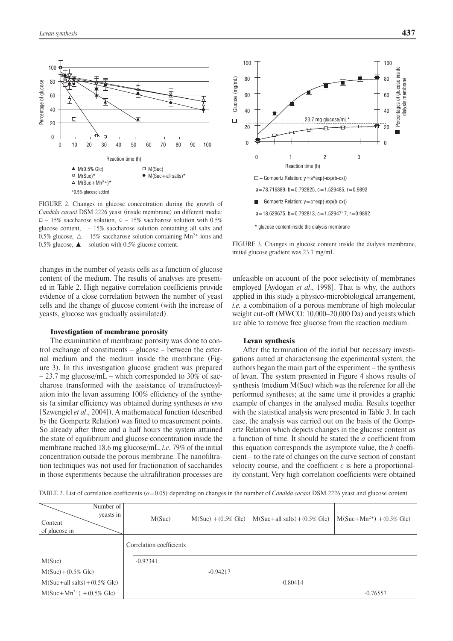

FIGURE 2. Changes in glucose concentration during the growth of *Candida cacaoi* DSM 2226 yeast (inside membrane) on different media:  $\Box$  – 15% saccharose solution,  $\circ$  – 15% saccharose solution with 0.5% glucose content,  $-15\%$  saccharose solution containing all salts and 0.5% glucose,  $\Delta$  – 15% saccharose solution containing Mn<sup>2+</sup> ions and 0.5% glucose,  $\triangle$  – solution with 0.5% glucose content.

changes in the number of yeasts cells as a function of glucose content of the medium. The results of analyses are presented in Table 2. High negative correlation coefficients provide evidence of a close correlation between the number of yeast cells and the change of glucose content (with the increase of yeasts, glucose was gradually assimilated).

#### Investigation of membrane porosity

The examination of membrane porosity was done to control exchange of constituents – glucose – between the external medium and the medium inside the membrane (Figure 3). In this investigation glucose gradient was prepared – 23.7 mg glucose/mL – which corresponded to 30% of saccharose transformed with the assistance of transfructosylation into the levan assuming 100% efficiency of the synthesis (a similar efficiency was obtained during syntheses *in vivo* [Szwengiel *et al*., 2004]). A mathematical function (described by the Gompertz Relation) was fitted to measurement points. So already after three and a half hours the system attained the state of equilibrium and glucose concentration inside the membrane reached 18.6 mg glucose/mL, *i.e.* 79% of the initial concentration outside the porous membrane. The nanofiltration techniques was not used for fractionation of saccharides in those experiments because the ultrafiltration processes are



FIGURE 3. Changes in glucose content inside the dialysis membrane, initial glucose gradient was 23.7 mg/mL.

unfeasible on account of the poor selectivity of membranes employed [Aydogan *et al*., 1998]. That is why, the authors applied in this study a physico-microbiological arrangement, *i.e.* a combination of a porous membrane of high molecular weight cut-off (MWCO: 10,000–20,000 Da) and yeasts which are able to remove free glucose from the reaction medium.

#### Levan synthesis

After the termination of the initial but necessary investigations aimed at characterising the experimental system, the authors began the main part of the experiment – the synthesis of levan. The system presented in Figure 4 shows results of synthesis (medium M(Suc) which was the reference for all the performed syntheses; at the same time it provides a graphic example of changes in the analysed media. Results together with the statistical analysis were presented in Table 3. In each case, the analysis was carried out on the basis of the Gompertz Relation which depicts changes in the glucose content as a function of time. It should be stated the *a* coefficient from this equation corresponds the asymptote value, the *b* coefficient – to the rate of changes on the curve section of constant velocity course, and the coefficient *c* is here a proportionality constant. Very high correlation coefficients were obtained

TABLE 2. List of correlation coefficients (a=0.05) depending on changes in the number of *Candida cacaoi* DSM 2226 yeast and glucose content.

| Number of<br>yeasts in<br>Content<br>of glucose in | M(Suc)                   | $M(Suc) + (0.5\% \text{ Glc})$ | $M(Suc+all slits)+(0.5\% Glc)$ | $M(Suc+Mn^{2+})$ + (0.5% Glc) |
|----------------------------------------------------|--------------------------|--------------------------------|--------------------------------|-------------------------------|
|                                                    | Correlation coefficients |                                |                                |                               |
| M(Suc)                                             | $-0.92341$               |                                |                                |                               |
| $M(Suc) + (0.5\% \text{ Glc})$                     |                          | $-0.94217$                     |                                |                               |
| $M(Suc+all$ salts $)+(0.5\%$ Glc                   |                          |                                | $-0.80414$                     |                               |
| $M(Suc+Mn^{2+})$ + (0.5% Glc)                      |                          |                                |                                | $-0.76557$                    |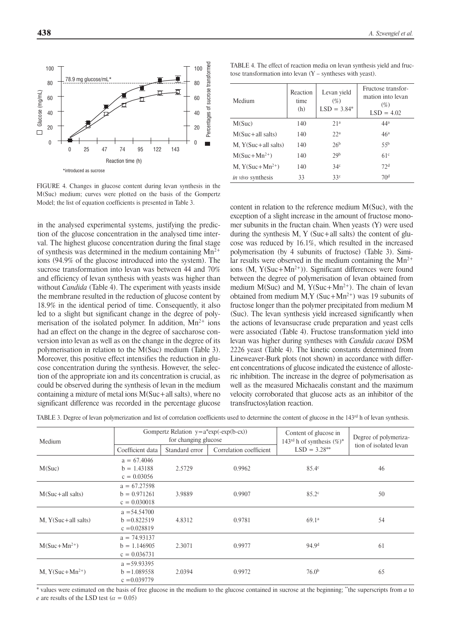FIGURE 4. Changes in glucose content during levan synthesis in the M(Suc) medium; curves were plotted on the basis of the Gompertz Model; the list of equation coefficients is presented in Table 3.

in the analysed experimental systems, justifying the prediction of the glucose concentration in the analysed time interval. The highest glucose concentration during the final stage of synthesis was determined in the medium containing  $Mn^{2+}$ ions (94.9% of the glucose introduced into the system). The sucrose transformation into levan was between 44 and 70% and efficiency of levan synthesis with yeasts was higher than without *Candida* (Table 4). The experiment with yeasts inside the membrane resulted in the reduction of glucose content by 18.9% in the identical period of time. Consequently, it also led to a slight but significant change in the degree of polymerisation of the isolated polymer. In addition,  $Mn^{2+}$  ions had an effect on the change in the degree of saccharose conversion into levan as well as on the change in the degree of its polymerisation in relation to the M(Suc) medium (Table 3). Moreover, this positive effect intensifies the reduction in glucose concentration during the synthesis. However, the selection of the appropriate ion and its concentration is crucial, as could be observed during the synthesis of levan in the medium containing a mixture of metal ions M(Suc+all salts), where no significant difference was recorded in the percentage glucose

TABLE 4. The effect of reaction media on levan synthesis yield and fructose transformation into levan (Y – syntheses with yeast).

| Medium                  | Reaction<br>time<br>(h) | Levan yield<br>$(\% )$<br>$LSD = 3.84*$ | Fructose transfor-<br>mation into levan<br>$(\% )$<br>$LSD = 4.02$ |
|-------------------------|-------------------------|-----------------------------------------|--------------------------------------------------------------------|
| M(Suc)                  | 140                     | 21 <sup>a</sup>                         | 44 <sup>a</sup>                                                    |
| $M(Suc + all$ salts)    | 140                     | 22 <sup>a</sup>                         | 46 <sup>a</sup>                                                    |
| $M, Y(Suc + all$ salts) | 140                     | 26 <sup>b</sup>                         | 55 <sup>b</sup>                                                    |
| $M(Suc+Mn^{2+})$        | 140                     | 20 <sup>b</sup>                         | 61 <sup>c</sup>                                                    |
| M, $Y(Suc+Mn^{2+})$     | 140                     | 34 <sup>c</sup>                         | 72 <sup>d</sup>                                                    |
| in vivo synthesis       | 33                      | 33 <sup>c</sup>                         | 70 <sup>d</sup>                                                    |

content in relation to the reference medium M(Suc), with the exception of a slight increase in the amount of fructose monomer subunits in the fructan chain. When yeasts (Y) were used during the synthesis M, Y (Suc+all salts) the content of glucose was reduced by 16.1%, which resulted in the increased polymerisation (by 4 subunits of fructose) (Table 3). Similar results were observed in the medium containing the  $Mn^{2+}$ ions (M, Y(Suc+Mn<sup>2+</sup>)). Significant differences were found between the degree of polymerisation of levan obtained from medium M(Suc) and M,  $Y(Suc+Mn^{2+})$ . The chain of levan obtained from medium M,Y (Suc+Mn<sup>2+</sup>) was 19 subunits of fructose longer than the polymer precipitated from medium M (Suc). The levan synthesis yield increased significantly when the actions of levansucrase crude preparation and yeast cells were associated (Table 4). Fructose transformation yield into levan was higher during syntheses with *Candida cacaoi* DSM 2226 yeast (Table 4). The kinetic constants determined from Lineweaver-Burk plots (not shown) in accordance with different concentrations of glucose indicated the existence of allosteric inhibition. The increase in the degree of polymerisation as well as the measured Michaealis constant and the maximum velocity corroborated that glucose acts as an inhibitor of the transfructosylation reaction.

TABLE 3. Degree of levan polymerization and list of correlation coefficients used to determine the content of glucose in the 143rd h of levan synthesis.

| Medium                  |                                                    | Gompertz Relation $y=a*exp(-exp(b-cx))$<br>for changing glucose |                         | Content of glucose in<br>143 <sup>rd</sup> h of synthesis $(\%)^*$ | Degree of polymeriza-  |
|-------------------------|----------------------------------------------------|-----------------------------------------------------------------|-------------------------|--------------------------------------------------------------------|------------------------|
|                         | Coefficient data                                   | Standard error                                                  | Correlation coefficient | $LSD = 3.28**$                                                     | tion of isolated levan |
| M(Suc)                  | $a = 67.4046$<br>$b = 1.43188$<br>$c = 0.03056$    | 2.5729                                                          | 0.9962                  | 85.4 <sup>c</sup>                                                  | 46                     |
| $M(Suc + all$ salts)    | $a = 67.27598$<br>$b = 0.971261$<br>$c = 0.030018$ | 3.9889                                                          | 0.9907                  | 85.2 <sup>c</sup>                                                  | 50                     |
| $M, Y(Suc + all slits)$ | $a = 54.54700$<br>$b = 0.822519$<br>$c = 0.028819$ | 4.8312                                                          | 0.9781                  | 69.1 <sup>a</sup>                                                  | 54                     |
| $M(Suc+Mn^{2+})$        | $a = 74.93137$<br>$b = 1.146905$<br>$c = 0.036731$ | 2.3071                                                          | 0.9977                  | 94.9 <sup>d</sup>                                                  | 61                     |
| M, $Y(Suc+Mn^{2+})$     | $a = 59.93395$<br>$b = 1.089558$<br>$c = 0.039779$ | 2.0394                                                          | 0.9972                  | 76.0 <sup>b</sup>                                                  | 65                     |

\* values were estimated on the basis of free glucose in the medium to the glucose contained in sucrose at the beginning; \*\*the superscripts from *a* to *e* are results of the LSD test ( $\alpha = 0.05$ )

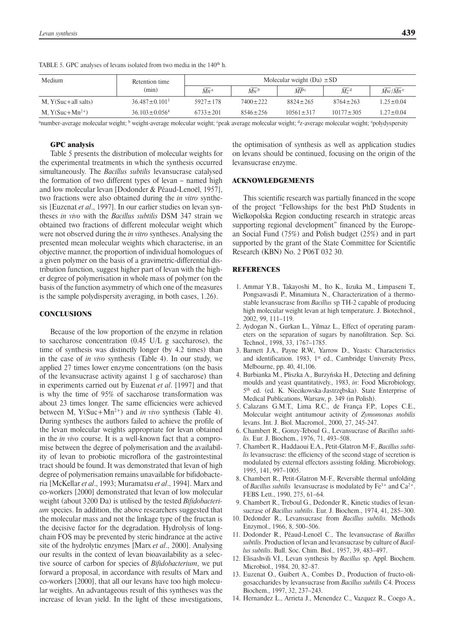| Medium                  | Retention time       | Molecular weight $(Da) \pm SD$ |                |                 |                               |                 |
|-------------------------|----------------------|--------------------------------|----------------|-----------------|-------------------------------|-----------------|
|                         | (min)                | $Mn^{\rm a}$                   | $Mw^b$         | $\bar{MP}$      | $\overline{M_7}$ <sup>d</sup> | $Mw/Mn^e$       |
| $M, Y(Suc + all$ salts) | $36.487 \pm 0.101^3$ | $5927 \pm 178$                 | $7400 \pm 222$ | $8824 \pm 265$  | $8764 \pm 263$                | $1.25 \pm 0.04$ |
| M, $Y(Suc+Mn^{2+})$     | $36.103 \pm 0.0564$  | $6733 + 201$                   | $8546 \pm 256$ | $10561 \pm 317$ | $10177 + 305$                 | $1.27 \pm 0.04$ |

TABLE 5. GPC analyses of levans isolated from two media in the 140<sup>th</sup> h.

<sup>a</sup>number-average molecular weight; <sup>b</sup> weight-average molecular weight; <sup>c</sup>peak average molecular weight; <sup>d</sup>z-average molecular weight; <sup>c</sup>polydyspersity

### GPC analysis

Table 5 presents the distribution of molecular weights for the experimental treatments in which the synthesis occurred simultaneously. The *Bacillus subtilis* levansucrase catalysed the formation of two different types of levan – named high and low molecular levan [Dodonder & Péaud-Lenoël, 1957], two fractions were also obtained during the *in vitro* synthesis [Euzenat *et al*., 1997]. In our earlier studies on levan syntheses *in vivo* with the *Bacillus subtilis* DSM 347 strain we obtained two fractions of different molecular weight which were not observed during the *in vitro* syntheses. Analysing the presented mean molecular weights which characterise, in an objective manner, the proportion of individual homologues of a given polymer on the basis of a gravimetric-differential distribution function, suggest higher part of levan with the higher degree of polymerisation in whole mass of polymer (on the basis of the function asymmetry of which one of the measures is the sample polydispersity averaging, in both cases, 1.26).

### **CONCLUSIONS**

Because of the low proportion of the enzyme in relation to saccharose concentration (0.45 U/L g saccharose), the time of synthesis was distinctly longer (by 4.2 times) than in the case of *in vivo* synthesis (Table 4). In our study, we applied 27 times lower enzyme concentrations (on the basis of the levansucrase activity against 1 g of saccharose) than in experiments carried out by Euzenat *et al*. [1997] and that is why the time of 95% of saccharose transformation was about 23 times longer. The same efficiencies were achieved between M, Y(Suc+Mn2+) and *in vivo* synthesis (Table 4). During syntheses the authors failed to achieve the profile of the levan molecular weights appropriate for levan obtained in the *in vivo* course. It is a well-known fact that a compromise between the degree of polymerisation and the availability of levan to probiotic microflora of the gastrointestinal tract should be found. It was demonstrated that levan of high degree of polymerisation remains unavailable for bifidobacteria [McKellar *et al*., 1993; Muramatsu *et al*., 1994]. Marx and co-workers [2000] demonstrated that levan of low molecular weight (about 3200 Da) is utilised by the tested *Bifidobacterium* species. In addition, the above researchers suggested that the molecular mass and not the linkage type of the fructan is the decisive factor for the degradation. Hydrolysis of longchain FOS may be prevented by steric hindrance at the active site of the hydrolytic enzymes [Marx *et al*., 2000]. Analysing our results in the context of levan bioavailability as a selective source of carbon for species of *Bifidobacterium*, we put forward a proposal, in accordance with results of Marx and co-workers [2000], that all our levans have too high molecular weights. An advantageous result of this syntheses was the increase of levan yield. In the light of these investigations,

the optimisation of synthesis as well as application studies on levans should be continued, focusing on the origin of the levansucrase enzyme.

### ACKNOWLEDGEMENTS

This scientific research was partially financed in the scope of the project "Fellowships for the best PhD Students in Wielkopolska Region conducting research in strategic areas supporting regional development" financed by the European Social Fund (75%) and Polish budget (25%) and in part supported by the grant of the State Committee for Scientific Research (KBN) No. 2 P06T 032 30.

# REFERENCES

- 1. Ammar Y.B., Takayoshi M., Ito K., Iizuka M., Limpaseni T., Pongsawasdi P., Minamiura N., Characterization of a thermostable levansucrase from *Bacillus* sp TH-2 capable of producing high molecular weight levan at high temperature. J. Biotechnol., 2002, 99, 111–119.
- 2. Aydogan N., Gurkan L., Yilmaz L., Effect of operating parameters on the separation of sugars by nanofiltration. Sep. Sci. Technol., 1998, 33, 1767–1785.
- 3. Barnett J.A., Payne R.W., Yarrow D., Yeasts: Characteristics and identification. 1983, 1st ed., Cambridge University Press, Melbourne, pp. 40, 41,106.
- 4. Burbianka M., Pliszka A., Burzyńska H., Detecting and defining moulds and yeast quantitatively., 1983, *in*: Food Microbiology, 5<sup>th</sup> ed. (ed. K. Niecikowska-Jastrzębska). State Enterprise of Medical Publications, Warsaw, p. 349 (in Polish).
- 5. Calazans G.M.T., Lima R.C., de França F.P., Lopes C.E., Molecular weight antitumour activity of *Zymomonas mobilis* levans. Int. J. Biol. Macromol., 2000, 27, 245-247.
- 6. Chambert R., Gonzy-Teboul G., Levansucrase of *Bacillus subtilis.* Eur. J. Biochem., 1976, 71, 493–508.
- 7. Chambert R., Haddaoui E.A., Petit-Glatron M-F., *Bacillus subtilis* levansucrase: the efficiency of the second stage of secretion is modulated by external effectors assisting folding. Microbiology, 1995, 141, 997–1005.
- 8. Chambert R., Petit-Glatron M-F., Reversible thermal unfolding of *Bacillus subtilis* levansucrase is modulated by  $Fe^{3+}$  and  $Ca^{2+}$ . FEBS Lett., 1990, 275, 61–64.
- 9. Chambert R., Treboul G., Dedonder R., Kinetic studies of levansucrase of *Bacillus subtilis*. Eur. J. Biochem., 1974, 41, 285–300.
- 10. Dedonder R., Levansucrase from *Bacillus subtilis.* Methods Enzymol., 1966, 8, 500–506.
- 11. Dodonder R., Péaud-Lenoël C., The levansucrase of *Bacillus subtilis*. Production of levan and levansucrase by culture of *Bacillus subtilis*. Bull. Soc. Chim. Biol., 1957, 39, 483–497.
- 12. Elisashvili V.I., Levan synthesis by *Bacillus* sp. Appl. Biochem. Microbiol., 1984, 20, 82–87.
- 13. Euzenat O., Guibert A., Combes D., Production of fructo-oligosaccharides by levansucrase from *Bacillus subtilis* C4. Process Biochem., 1997, 32, 237–243.
- 14. Hernandez L., Arrieta J., Menendez C., Vazquez R., Coego A.,